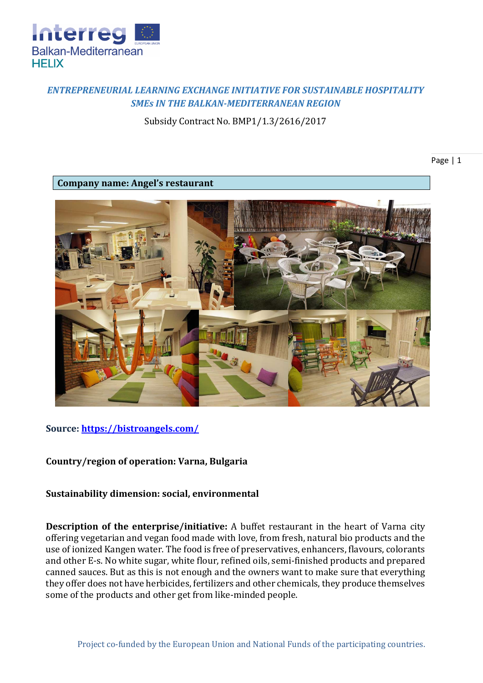

# *ENTREPRENEURIAL LEARNING EXCHANGE INITIATIVE FOR SUSTAINABLE HOSPITALITY SMEs IN THE BALKAN-MEDITERRANEAN REGION*

Subsidy Contract No. BMP1/1.3/2616/2017

Page | 1

**Company name: Angel's restaurant**



## **Source:<https://bistroangels.com/>**

## **Country/region of operation: Varna, Bulgaria**

### **Sustainability dimension: social, environmental**

**Description of the enterprise/initiative:** A buffet restaurant in the heart of Varna city offering vegetarian and vegan food made with love, from fresh, natural bio products and the use of ionized Kangen water. The food is free of preservatives, enhancers, flavours, colorants and other E-s. No white sugar, white flour, refined oils, semi-finished products and prepared canned sauces. But as this is not enough and the owners want to make sure that everything they offer does not have herbicides, fertilizers and other chemicals, they produce themselves some of the products and other get from like-minded people.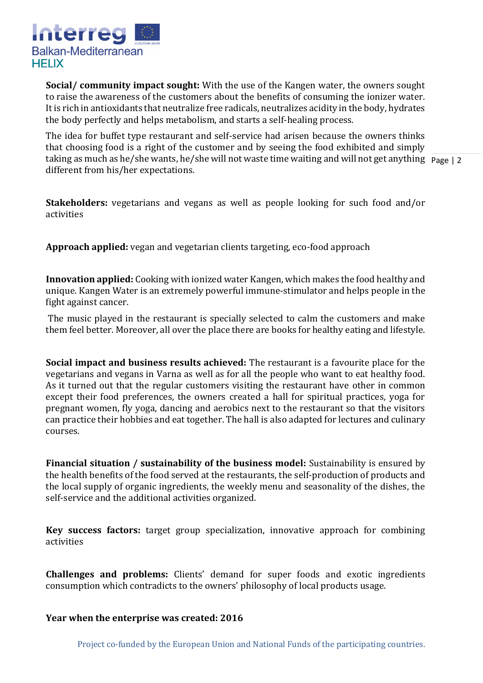

**Social/ community impact sought:** With the use of the Kangen water, the owners sought to raise the awareness of the customers about the benefits of consuming the ionizer water. It is rich in antioxidants that neutralize free radicals, neutralizes acidity in the body, hydrates the body perfectly and helps metabolism, and starts a self-healing process.

taking as much as he/she wants, he/she will not waste time waiting and will not get anything Page | 2 The idea for buffet type restaurant and self-service had arisen because the owners thinks that choosing food is a right of the customer and by seeing the food exhibited and simply different from his/her expectations.

**Stakeholders:** vegetarians and vegans as well as people looking for such food and/or activities

**Approach applied:** vegan and vegetarian clients targeting, eco-food approach

**Innovation applied:** Cooking with ionized water Kangen, which makes the food healthy and unique. Kangen Water is an extremely powerful immune-stimulator and helps people in the fight against cancer.

The music played in the restaurant is specially selected to calm the customers and make them feel better. Moreover, all over the place there are books for healthy eating and lifestyle.

**Social impact and business results achieved:** The restaurant is a favourite place for the vegetarians and vegans in Varna as well as for all the people who want to eat healthy food. As it turned out that the regular customers visiting the restaurant have other in common except their food preferences, the owners created a hall for spiritual practices, yoga for pregnant women, fly yoga, dancing and aerobics next to the restaurant so that the visitors can practice their hobbies and eat together. The hall is also adapted for lectures and culinary courses.

**Financial situation / sustainability of the business model:** Sustainability is ensured by the health benefits of the food served at the restaurants, the self-production of products and the local supply of organic ingredients, the weekly menu and seasonality of the dishes, the self-service and the additional activities organized.

**Key success factors:** target group specialization, innovative approach for combining activities

**Challenges and problems:** Clients' demand for super foods and exotic ingredients consumption which contradicts to the owners' philosophy of local products usage.

### **Year when the enterprise was created: 2016**